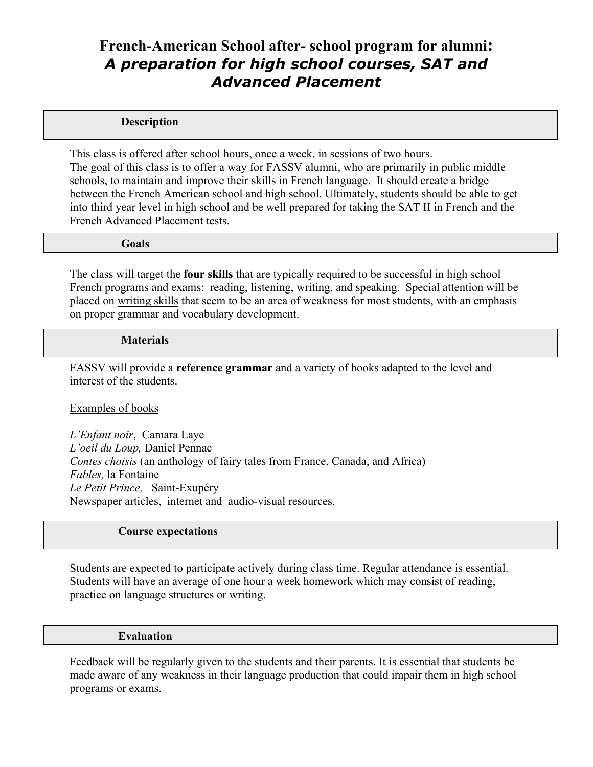# **French-American School after- school program for alumni:** *A preparation for high school courses, SAT and Advanced Placement*

### **Description**

This class is offered after school hours, once a week, in sessions of two hours. The goal of this class is to offer a way for FASSV alumni, who are primarily in public middle schools, to maintain and improve their skills in French language. It should create a bridge between the French American school and high school. Ultimately, students should be able to get into third year level in high school and be well prepared for taking the SAT II in French and the French Advanced Placement tests.

#### **Goals**

The class will target the **four skills** that are typically required to be successful in high school French programs and exams: reading, listening, writing, and speaking. Special attention will be placed on writing skills that seem to be an area of weakness for most students, with an emphasis on proper grammar and vocabulary development.

#### **Materials**

FASSV will provide a **reference grammar** and a variety of books adapted to the level and interest of the students.

### Examples of books

*L'Enfant noir*, Camara Laye *L'oeil du Loup,* Daniel Pennac *Contes choisis* (an anthology of fairy tales from France, Canada, and Africa) *Fables,* la Fontaine *Le Petit Prince,* Saint-Exupéry Newspaper articles, internet and audio-visual resources.

## **Course expectations**

Students are expected to participate actively during class time. Regular attendance is essential. Students will have an average of one hour a week homework which may consist of reading, practice on language structures or writing.

#### **Evaluation**

Feedback will be regularly given to the students and their parents. It is essential that students be made aware of any weakness in their language production that could impair them in high school programs or exams.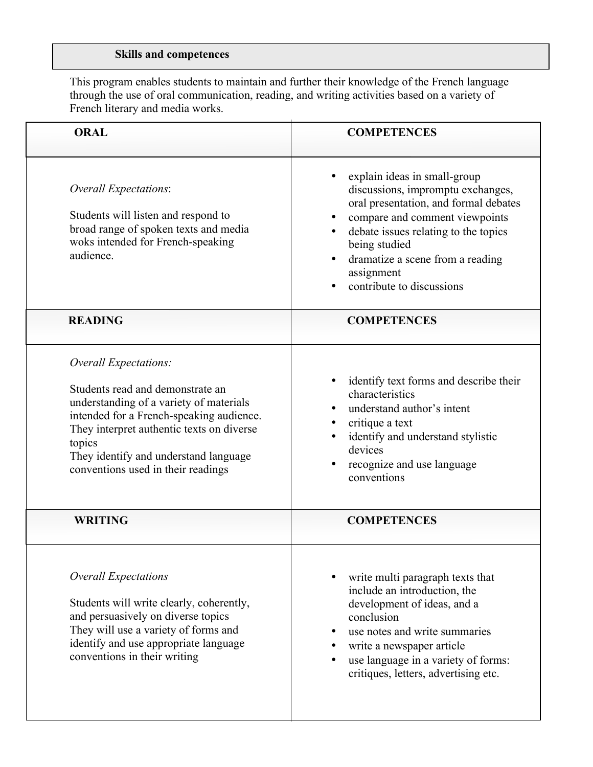## **Skills and competences**

This program enables students to maintain and further their knowledge of the French language through the use of oral communication, reading, and writing activities based on a variety of French literary and media works.

| <b>ORAL</b>                                                                                                                                                                                                                                                                            | <b>COMPETENCES</b>                                                                                                                                                                                                                                                                   |  |  |
|----------------------------------------------------------------------------------------------------------------------------------------------------------------------------------------------------------------------------------------------------------------------------------------|--------------------------------------------------------------------------------------------------------------------------------------------------------------------------------------------------------------------------------------------------------------------------------------|--|--|
| Overall Expectations:<br>Students will listen and respond to<br>broad range of spoken texts and media<br>woks intended for French-speaking<br>audience.                                                                                                                                | explain ideas in small-group<br>discussions, impromptu exchanges,<br>oral presentation, and formal debates<br>compare and comment viewpoints<br>debate issues relating to the topics<br>being studied<br>dramatize a scene from a reading<br>assignment<br>contribute to discussions |  |  |
| <b>READING</b>                                                                                                                                                                                                                                                                         | <b>COMPETENCES</b>                                                                                                                                                                                                                                                                   |  |  |
| Overall Expectations:<br>Students read and demonstrate an<br>understanding of a variety of materials<br>intended for a French-speaking audience.<br>They interpret authentic texts on diverse<br>topics<br>They identify and understand language<br>conventions used in their readings | identify text forms and describe their<br>characteristics<br>understand author's intent<br>critique a text<br>identify and understand stylistic<br>devices<br>recognize and use language<br>conventions                                                                              |  |  |
| <b>WRITING</b>                                                                                                                                                                                                                                                                         | <b>COMPETENCES</b>                                                                                                                                                                                                                                                                   |  |  |
| <b>Overall Expectations</b><br>Students will write clearly, coherently,<br>and persuasively on diverse topics<br>They will use a variety of forms and<br>identify and use appropriate language<br>conventions in their writing                                                         | write multi paragraph texts that<br>include an introduction, the<br>development of ideas, and a<br>conclusion<br>use notes and write summaries<br>write a newspaper article<br>use language in a variety of forms:<br>critiques, letters, advertising etc.                           |  |  |